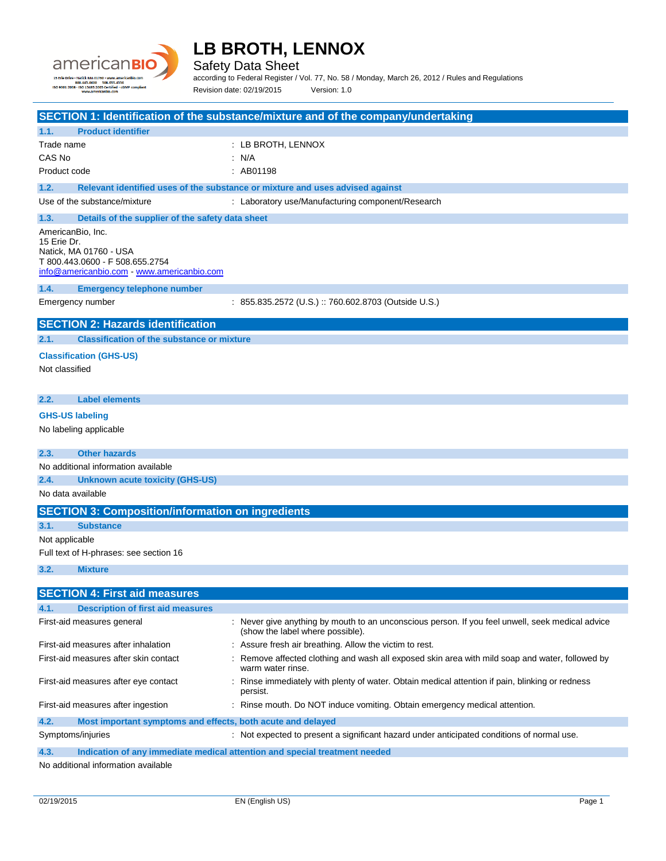

Safety Data Sheet

according to Federal Register / Vol. 77, No. 58 / Monday, March 26, 2012 / Rules and Regulations Revision date: 02/19/2015 Version: 1.0

| SECTION 1: Identification of the substance/mixture and of the company/undertaking |                                                                                                                                      |  |  |  |
|-----------------------------------------------------------------------------------|--------------------------------------------------------------------------------------------------------------------------------------|--|--|--|
| 1.1.<br><b>Product identifier</b>                                                 |                                                                                                                                      |  |  |  |
| Trade name                                                                        | : LB BROTH, LENNOX                                                                                                                   |  |  |  |
| CAS No                                                                            | : N/A                                                                                                                                |  |  |  |
| Product code                                                                      | : AB01198                                                                                                                            |  |  |  |
| 1.2.                                                                              | Relevant identified uses of the substance or mixture and uses advised against                                                        |  |  |  |
| Use of the substance/mixture                                                      | : Laboratory use/Manufacturing component/Research                                                                                    |  |  |  |
| 1.3.<br>Details of the supplier of the safety data sheet                          |                                                                                                                                      |  |  |  |
| AmericanBio, Inc.                                                                 |                                                                                                                                      |  |  |  |
| 15 Erie Dr.<br>Natick, MA 01760 - USA                                             |                                                                                                                                      |  |  |  |
| T 800.443.0600 - F 508.655.2754                                                   |                                                                                                                                      |  |  |  |
| info@americanbio.com www.americanbio.com                                          |                                                                                                                                      |  |  |  |
| 1.4.<br><b>Emergency telephone number</b>                                         |                                                                                                                                      |  |  |  |
| Emergency number                                                                  | : 855.835.2572 (U.S.) :: 760.602.8703 (Outside U.S.)                                                                                 |  |  |  |
| <b>SECTION 2: Hazards identification</b>                                          |                                                                                                                                      |  |  |  |
| <b>Classification of the substance or mixture</b><br>2.1.                         |                                                                                                                                      |  |  |  |
|                                                                                   |                                                                                                                                      |  |  |  |
| <b>Classification (GHS-US)</b><br>Not classified                                  |                                                                                                                                      |  |  |  |
|                                                                                   |                                                                                                                                      |  |  |  |
|                                                                                   |                                                                                                                                      |  |  |  |
| <b>Label elements</b><br>2.2.                                                     |                                                                                                                                      |  |  |  |
| <b>GHS-US labeling</b>                                                            |                                                                                                                                      |  |  |  |
| No labeling applicable                                                            |                                                                                                                                      |  |  |  |
| <b>Other hazards</b><br>2.3.                                                      |                                                                                                                                      |  |  |  |
| No additional information available                                               |                                                                                                                                      |  |  |  |
| 2.4.<br><b>Unknown acute toxicity (GHS-US)</b>                                    |                                                                                                                                      |  |  |  |
| No data available                                                                 |                                                                                                                                      |  |  |  |
| <b>SECTION 3: Composition/information on ingredients</b>                          |                                                                                                                                      |  |  |  |
| 3.1.<br><b>Substance</b>                                                          |                                                                                                                                      |  |  |  |
| Not applicable                                                                    |                                                                                                                                      |  |  |  |
| Full text of H-phrases: see section 16                                            |                                                                                                                                      |  |  |  |
| 3.2.<br><b>Mixture</b>                                                            |                                                                                                                                      |  |  |  |
|                                                                                   |                                                                                                                                      |  |  |  |
| <b>SECTION 4: First aid measures</b>                                              |                                                                                                                                      |  |  |  |
| <b>Description of first aid measures</b><br>4.1.                                  |                                                                                                                                      |  |  |  |
| First-aid measures general                                                        | : Never give anything by mouth to an unconscious person. If you feel unwell, seek medical advice<br>(show the label where possible). |  |  |  |
| First-aid measures after inhalation                                               | : Assure fresh air breathing. Allow the victim to rest.                                                                              |  |  |  |
| First-aid measures after skin contact                                             | Remove affected clothing and wash all exposed skin area with mild soap and water, followed by<br>warm water rinse.                   |  |  |  |
| First-aid measures after eye contact                                              | : Rinse immediately with plenty of water. Obtain medical attention if pain, blinking or redness<br>persist.                          |  |  |  |
| First-aid measures after ingestion                                                | : Rinse mouth. Do NOT induce vomiting. Obtain emergency medical attention.                                                           |  |  |  |
| 4.2.<br>Most important symptoms and effects, both acute and delayed               |                                                                                                                                      |  |  |  |
| Symptoms/injuries                                                                 | : Not expected to present a significant hazard under anticipated conditions of normal use.                                           |  |  |  |

**4.3. Indication of any immediate medical attention and special treatment needed**

No additional information available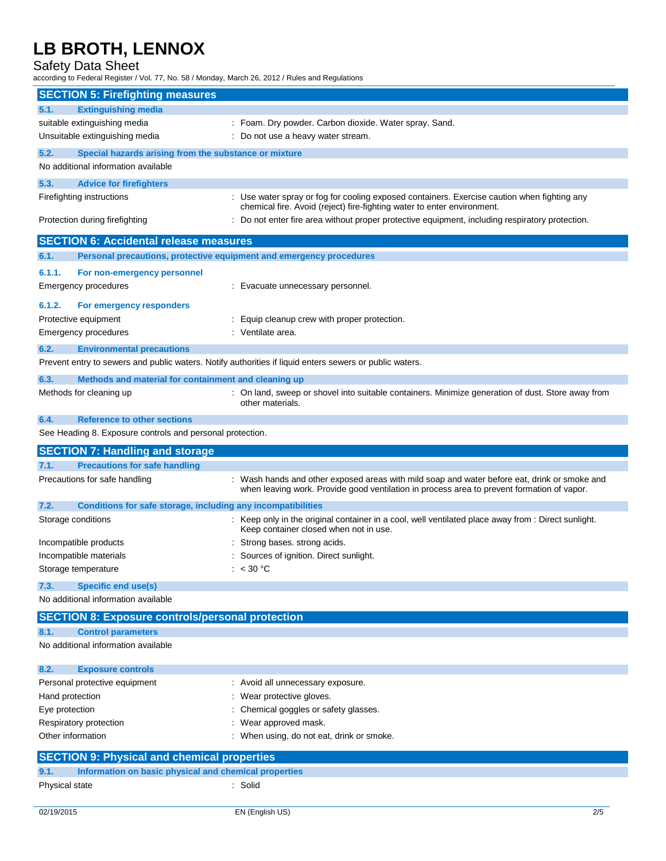### Safety Data Sheet

according to Federal Register / Vol. 77, No. 58 / Monday, March 26, 2012 / Rules and Regulations

|                                | <b>SECTION 5: Firefighting measures</b>                             |                                                                                                                                                                                            |
|--------------------------------|---------------------------------------------------------------------|--------------------------------------------------------------------------------------------------------------------------------------------------------------------------------------------|
| 5.1.                           | <b>Extinguishing media</b>                                          |                                                                                                                                                                                            |
|                                | suitable extinguishing media                                        | : Foam. Dry powder. Carbon dioxide. Water spray. Sand.                                                                                                                                     |
|                                | Unsuitable extinguishing media                                      | : Do not use a heavy water stream.                                                                                                                                                         |
| 5.2.                           | Special hazards arising from the substance or mixture               |                                                                                                                                                                                            |
|                                | No additional information available                                 |                                                                                                                                                                                            |
| 5.3.                           | <b>Advice for firefighters</b>                                      |                                                                                                                                                                                            |
|                                | Firefighting instructions                                           | : Use water spray or fog for cooling exposed containers. Exercise caution when fighting any                                                                                                |
| Protection during firefighting |                                                                     | chemical fire. Avoid (reject) fire-fighting water to enter environment.<br>Do not enter fire area without proper protective equipment, including respiratory protection.                   |
|                                | <b>SECTION 6: Accidental release measures</b>                       |                                                                                                                                                                                            |
| 6.1.                           | Personal precautions, protective equipment and emergency procedures |                                                                                                                                                                                            |
| 6.1.1.                         | For non-emergency personnel                                         |                                                                                                                                                                                            |
|                                | Emergency procedures                                                | : Evacuate unnecessary personnel.                                                                                                                                                          |
|                                |                                                                     |                                                                                                                                                                                            |
| 6.1.2.                         | For emergency responders                                            |                                                                                                                                                                                            |
|                                | Protective equipment                                                | : Equip cleanup crew with proper protection.                                                                                                                                               |
|                                | Emergency procedures                                                | : Ventilate area.                                                                                                                                                                          |
| 6.2.                           | <b>Environmental precautions</b>                                    |                                                                                                                                                                                            |
|                                |                                                                     | Prevent entry to sewers and public waters. Notify authorities if liquid enters sewers or public waters.                                                                                    |
| 6.3.                           | Methods and material for containment and cleaning up                |                                                                                                                                                                                            |
|                                | Methods for cleaning up                                             | : On land, sweep or shovel into suitable containers. Minimize generation of dust. Store away from<br>other materials.                                                                      |
| 6.4.                           | <b>Reference to other sections</b>                                  |                                                                                                                                                                                            |
|                                | See Heading 8. Exposure controls and personal protection.           |                                                                                                                                                                                            |
|                                | <b>SECTION 7: Handling and storage</b>                              |                                                                                                                                                                                            |
| 7.1.                           | <b>Precautions for safe handling</b>                                |                                                                                                                                                                                            |
|                                | Precautions for safe handling                                       | : Wash hands and other exposed areas with mild soap and water before eat, drink or smoke and<br>when leaving work. Provide good ventilation in process area to prevent formation of vapor. |
| 7.2.                           | <b>Conditions for safe storage, including any incompatibilities</b> |                                                                                                                                                                                            |
| Storage conditions             |                                                                     | : Keep only in the original container in a cool, well ventilated place away from : Direct sunlight.<br>Keep container closed when not in use.                                              |
|                                | Incompatible products                                               | Strong bases, strong acids.                                                                                                                                                                |
|                                | Incompatible materials                                              | Sources of ignition. Direct sunlight.                                                                                                                                                      |
|                                | Storage temperature                                                 | < 30 °C                                                                                                                                                                                    |
| 7.3.                           | <b>Specific end use(s)</b><br>No additional information available   |                                                                                                                                                                                            |
|                                | <b>SECTION 8: Exposure controls/personal protection</b>             |                                                                                                                                                                                            |
|                                |                                                                     |                                                                                                                                                                                            |
| 8.1.                           | <b>Control parameters</b><br>No additional information available    |                                                                                                                                                                                            |
|                                |                                                                     |                                                                                                                                                                                            |
| 8.2.                           | <b>Exposure controls</b>                                            |                                                                                                                                                                                            |
|                                |                                                                     |                                                                                                                                                                                            |
|                                | Personal protective equipment                                       | : Avoid all unnecessary exposure.                                                                                                                                                          |
| Hand protection                |                                                                     | Wear protective gloves.                                                                                                                                                                    |
| Eye protection                 |                                                                     | Chemical goggles or safety glasses.                                                                                                                                                        |
|                                | Respiratory protection                                              | Wear approved mask.                                                                                                                                                                        |
| Other information              |                                                                     | : When using, do not eat, drink or smoke.                                                                                                                                                  |
|                                | <b>SECTION 9: Physical and chemical properties</b>                  |                                                                                                                                                                                            |
| 9.1.                           | Information on basic physical and chemical properties               |                                                                                                                                                                                            |
| Physical state                 |                                                                     | : Solid                                                                                                                                                                                    |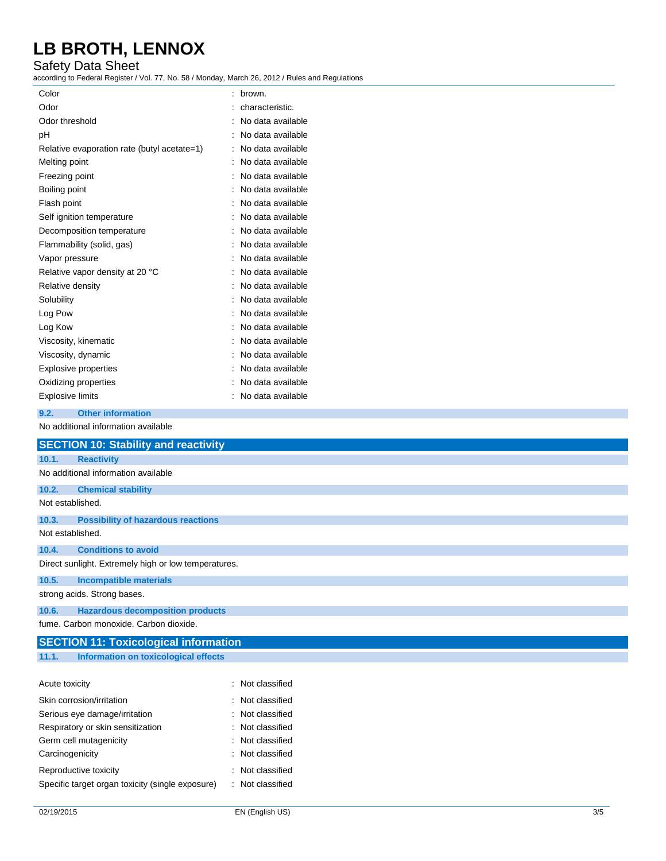### Safety Data Sheet

| according to Federal Register / Vol. 77, No. 58 / Monday, March 26, 2012 / Rules and Regulations |                     |
|--------------------------------------------------------------------------------------------------|---------------------|
| Color                                                                                            | : brown.            |
| Odor                                                                                             | characteristic.     |
| Odor threshold                                                                                   | : No data available |
| рH                                                                                               | : No data available |
| Relative evaporation rate (butyl acetate=1)                                                      | : No data available |
| Melting point                                                                                    | : No data available |
| Freezing point                                                                                   | : No data available |
| Boiling point                                                                                    | : No data available |
| Flash point                                                                                      | No data available   |
| Self ignition temperature                                                                        | : No data available |
| Decomposition temperature                                                                        | : No data available |
| Flammability (solid, gas)                                                                        | : No data available |
| Vapor pressure                                                                                   | : No data available |
| Relative vapor density at 20 °C                                                                  | : No data available |
| Relative density                                                                                 | : No data available |
| Solubility                                                                                       | No data available   |
| Log Pow                                                                                          | No data available   |
| Log Kow                                                                                          | No data available   |
| Viscosity, kinematic                                                                             | No data available   |
| Viscosity, dynamic                                                                               | : No data available |
| Explosive properties                                                                             | : No data available |
| Oxidizing properties                                                                             | : No data available |
| <b>Explosive limits</b>                                                                          | : No data available |
| 9.2.<br><b>Other information</b>                                                                 |                     |
| No additional information available                                                              |                     |
| <b>SECTION 10: Stability and reactivity</b>                                                      |                     |
| 10.1.<br><b>Reactivity</b>                                                                       |                     |
| No additional information available                                                              |                     |
| 10.2.<br><b>Chemical stability</b>                                                               |                     |
| Not established.                                                                                 |                     |
| 10.3.<br><b>Possibility of hazardous reactions</b>                                               |                     |
| Not established.                                                                                 |                     |
| 10.4.<br><b>Conditions to avoid</b>                                                              |                     |
| Direct sunlight. Extremely high or low temperatures.                                             |                     |
| <b>Incompatible materials</b><br>10.5.                                                           |                     |
| strong acids. Strong bases.                                                                      |                     |
| <b>Hazardous decomposition products</b><br>10.6.                                                 |                     |
| fume. Carbon monoxide. Carbon dioxide.                                                           |                     |
| <b>SECTION 11: Toxicological information</b>                                                     |                     |
| <b>Information on toxicological effects</b><br>11.1.                                             |                     |
|                                                                                                  |                     |
| Acute toxicity                                                                                   | : Not classified    |
| Skin corrosion/irritation                                                                        | : Not classified    |

| Skin corrosion/irritation                        | : Not classified            |
|--------------------------------------------------|-----------------------------|
| Serious eye damage/irritation                    | : Not classified            |
| Respiratory or skin sensitization                | : Not classified            |
| Germ cell mutagenicity                           | $\therefore$ Not classified |
| Carcinogenicity                                  | : Not classified            |
| Reproductive toxicity                            | Not classified              |
| Specific target organ toxicity (single exposure) | : Not classified            |
|                                                  |                             |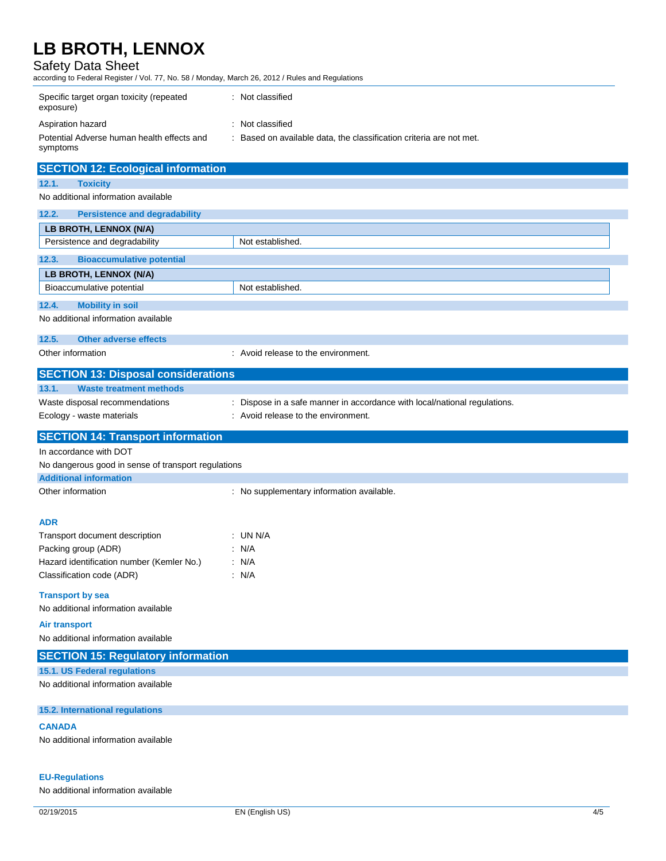**SECTION 40: Explanational info** 

### Safety Data Sheet

according to Federal Register / Vol. 77, No. 58 / Monday, March 26, 2012 / Rules and Regulations

| Specific target organ toxicity (repeated<br>exposure)  | : Not classified                                                  |
|--------------------------------------------------------|-------------------------------------------------------------------|
| Aspiration hazard                                      | : Not classified                                                  |
| Potential Adverse human health effects and<br>symptoms | Based on available data, the classification criteria are not met. |

| SECTION 12: Ecological information                  |                                                                           |
|-----------------------------------------------------|---------------------------------------------------------------------------|
| 12.1.<br><b>Toxicity</b>                            |                                                                           |
| No additional information available                 |                                                                           |
| 12.2.<br><b>Persistence and degradability</b>       |                                                                           |
| LB BROTH, LENNOX (N/A)                              |                                                                           |
| Persistence and degradability                       | Not established.                                                          |
| <b>Bioaccumulative potential</b><br>12.3.           |                                                                           |
| LB BROTH, LENNOX (N/A)                              |                                                                           |
| Bioaccumulative potential                           | Not established.                                                          |
| 12.4.<br><b>Mobility in soil</b>                    |                                                                           |
| No additional information available                 |                                                                           |
| 12.5.<br><b>Other adverse effects</b>               |                                                                           |
| Other information                                   | : Avoid release to the environment.                                       |
| <b>SECTION 13: Disposal considerations</b>          |                                                                           |
| 13.1.<br><b>Waste treatment methods</b>             |                                                                           |
| Waste disposal recommendations                      | : Dispose in a safe manner in accordance with local/national regulations. |
| Ecology - waste materials                           | : Avoid release to the environment.                                       |
| <b>SECTION 14: Transport information</b>            |                                                                           |
| In accordance with DOT                              |                                                                           |
| No dangerous good in sense of transport regulations |                                                                           |
| <b>Additional information</b>                       |                                                                           |
| Other information                                   | : No supplementary information available.                                 |
|                                                     |                                                                           |
| <b>ADR</b>                                          |                                                                           |
| Transport document description                      | $:$ UN N/A                                                                |
| Packing group (ADR)                                 | : N/A                                                                     |
| Hazard identification number (Kemler No.)           | : N/A                                                                     |
| Classification code (ADR)                           | : N/A                                                                     |
| <b>Transport by sea</b>                             |                                                                           |
| No additional information available                 |                                                                           |
| <b>Air transport</b>                                |                                                                           |
| No additional information available                 |                                                                           |
| <b>SECTION 15: Regulatory information</b>           |                                                                           |
| 15.1. US Federal regulations                        |                                                                           |
| No additional information available                 |                                                                           |
| 15.2. International regulations                     |                                                                           |
| <b>CANADA</b>                                       |                                                                           |

No additional information available

### **EU-Regulations**

No additional information available